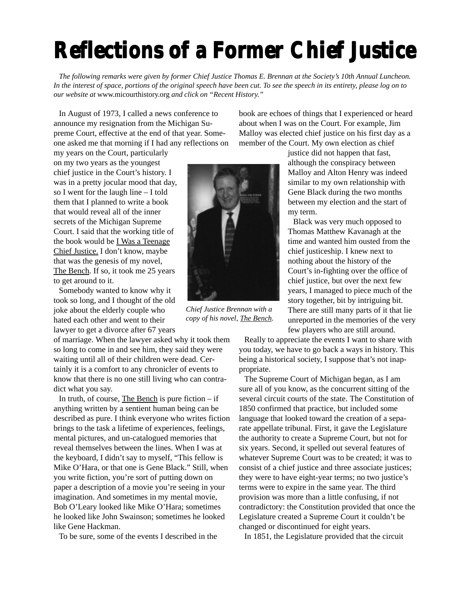## **Reflections of a Former Chief Justice**

*The following remarks were given by former Chief Justice Thomas E. Brennan at the Society's 10th Annual Luncheon. In the interest of space, portions of the original speech have been cut. To see the speech in its entirety, please log on to our website at* www.micourthistory.org *and click on "Recent History."*

In August of 1973, I called a news conference to announce my resignation from the Michigan Supreme Court, effective at the end of that year. Someone asked me that morning if I had any reflections on book are echoes of things that I experienced or heard about when I was on the Court. For example, Jim Malloy was elected chief justice on his first day as a member of the Court. My own election as chief

my years on the Court, particularly on my two years as the youngest chief justice in the Court's history. I was in a pretty jocular mood that day, so I went for the laugh line – I told them that I planned to write a book that would reveal all of the inner secrets of the Michigan Supreme Court. I said that the working title of the book would be I Was a Teenage Chief Justice. I don't know, maybe that was the genesis of my novel, The Bench. If so, it took me 25 years to get around to it.

Somebody wanted to know why it took so long, and I thought of the old joke about the elderly couple who hated each other and went to their lawyer to get a divorce after 67 years

of marriage. When the lawyer asked why it took them so long to come in and see him, they said they were waiting until all of their children were dead. Certainly it is a comfort to any chronicler of events to know that there is no one still living who can contradict what you say.

In truth, of course, The Bench is pure fiction  $-$  if anything written by a sentient human being can be described as pure. I think everyone who writes fiction brings to the task a lifetime of experiences, feelings, mental pictures, and un-catalogued memories that reveal themselves between the lines. When I was at the keyboard, I didn't say to myself, "This fellow is Mike O'Hara, or that one is Gene Black." Still, when you write fiction, you're sort of putting down on paper a description of a movie you're seeing in your imagination. And sometimes in my mental movie, Bob O'Leary looked like Mike O'Hara; sometimes he looked like John Swainson; sometimes he looked like Gene Hackman.

To be sure, some of the events I described in the



*Chief Justice Brennan with a copy of his novel, The Bench.*

justice did not happen that fast, although the conspiracy between Malloy and Alton Henry was indeed similar to my own relationship with Gene Black during the two months between my election and the start of my term.

Black was very much opposed to Thomas Matthew Kavanagh at the time and wanted him ousted from the chief justiceship. I knew next to nothing about the history of the Court's in-fighting over the office of chief justice, but over the next few years, I managed to piece much of the story together, bit by intriguing bit. There are still many parts of it that lie unreported in the memories of the very few players who are still around.

Really to appreciate the events I want to share with you today, we have to go back a ways in history. This being a historical society, I suppose that's not inappropriate.

The Supreme Court of Michigan began, as I am sure all of you know, as the concurrent sitting of the several circuit courts of the state. The Constitution of 1850 confirmed that practice, but included some language that looked toward the creation of a separate appellate tribunal. First, it gave the Legislature the authority to create a Supreme Court, but not for six years. Second, it spelled out several features of whatever Supreme Court was to be created; it was to consist of a chief justice and three associate justices; they were to have eight-year terms; no two justice's terms were to expire in the same year. The third provision was more than a little confusing, if not contradictory: the Constitution provided that once the Legislature created a Supreme Court it couldn't be changed or discontinued for eight years.

In 1851, the Legislature provided that the circuit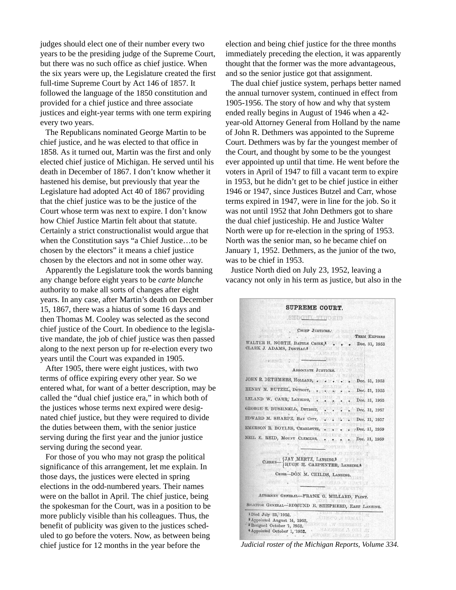judges should elect one of their number every two years to be the presiding judge of the Supreme Court, but there was no such office as chief justice. When the six years were up, the Legislature created the first full-time Supreme Court by Act 146 of 1857. It followed the language of the 1850 constitution and provided for a chief justice and three associate justices and eight-year terms with one term expiring every two years.

The Republicans nominated George Martin to be chief justice, and he was elected to that office in 1858. As it turned out, Martin was the first and only elected chief justice of Michigan. He served until his death in December of 1867. I don't know whether it hastened his demise, but previously that year the Legislature had adopted Act 40 of 1867 providing that the chief justice was to be the justice of the Court whose term was next to expire. I don't know how Chief Justice Martin felt about that statute. Certainly a strict constructionalist would argue that when the Constitution says "a Chief Justice…to be chosen by the electors" it means a chief justice chosen by the electors and not in some other way.

Apparently the Legislature took the words banning any change before eight years to be *carte blanche* authority to make all sorts of changes after eight years. In any case, after Martin's death on December 15, 1867, there was a hiatus of some 16 days and then Thomas M. Cooley was selected as the second chief justice of the Court. In obedience to the legislative mandate, the job of chief justice was then passed along to the next person up for re-election every two years until the Court was expanded in 1905.

After 1905, there were eight justices, with two terms of office expiring every other year. So we entered what, for want of a better description, may be called the "dual chief justice era," in which both of the justices whose terms next expired were designated chief justice, but they were required to divide the duties between them, with the senior justice serving during the first year and the junior justice serving during the second year.

For those of you who may not grasp the political significance of this arrangement, let me explain. In those days, the justices were elected in spring elections in the odd-numbered years. Their names were on the ballot in April. The chief justice, being the spokesman for the Court, was in a position to be more publicly visible than his colleagues. Thus, the benefit of publicity was given to the justices scheduled to go before the voters. Now, as between being chief justice for 12 months in the year before the

election and being chief justice for the three months immediately preceding the election, it was apparently thought that the former was the more advantageous, and so the senior justice got that assignment.

The dual chief justice system, perhaps better named the annual turnover system, continued in effect from 1905-1956. The story of how and why that system ended really begins in August of 1946 when a 42 year-old Attorney General from Holland by the name of John R. Dethmers was appointed to the Supreme Court. Dethmers was by far the youngest member of the Court, and thought by some to be the youngest ever appointed up until that time. He went before the voters in April of 1947 to fill a vacant term to expire in 1953, but he didn't get to be chief justice in either 1946 or 1947, since Justices Butzel and Carr, whose terms expired in 1947, were in line for the job. So it was not until 1952 that John Dethmers got to share the dual chief justiceship. He and Justice Walter North were up for re-election in the spring of 1953. North was the senior man, so he became chief on January 1, 1952. Dethmers, as the junior of the two, was to be chief in 1953.

Justice North died on July 23, 1952, leaving a vacancy not only in his term as justice, but also in the

| SEROUTL TIDOSHS                                                                                                                                                                                                                  |                              |
|----------------------------------------------------------------------------------------------------------------------------------------------------------------------------------------------------------------------------------|------------------------------|
| CHIEF JUSTICESA O BALLATINA<br>aveasof Art (<br>. TERM EXPIRES                                                                                                                                                                   |                              |
| WALTER H. NORTH, BATTLE CREEK, I Dec. 31, 1953<br>CLARK J. ADAMS, PONTIAC.2 AND MAIL AND RESIDENCE<br>CAMMING OF BEITH                                                                                                           |                              |
| Appeal to I-                                                                                                                                                                                                                     | <b>The Dept A ST 18</b>      |
| ASSOCIATE JUSTICES.                                                                                                                                                                                                              |                              |
| JOHN R. DETHMERS, HOLLAND,  . Dec. 31, 1953                                                                                                                                                                                      | 大脑的红斑                        |
| HENRY M. BUTZEL, DETROIT,                                                                                                                                                                                                        | Dec. 31, 1955                |
| <b>はながらの質</b><br>LELAND W. CARR, LANSING,                                                                                                                                                                                        | Dec. 31, 1955                |
|                                                                                                                                                                                                                                  | Dec. 31, 1957                |
| EDWARD M. SHARPE, BAY CITY, COLORADORE, Dec. 31, 1957                                                                                                                                                                            |                              |
| <b>BORNEY MUNITY</b><br>EMERSON R. BOYLES, CHARLOTTE,                                                                                                                                                                            | . . 7Dec. 31, 1959           |
| NEIL E. REID, MOUNT CLEMENS,                                                                                                                                                                                                     | Dec. 31, 1959<br>OBTHIS WEDT |
| <b>STANDARD STATE</b><br><b>CALCAROODM.GERINANS</b><br>$\texttt{CIERKS}\text{---}\begin{cases} \texttt{JAY}\ \texttt{MBRTZ}\ \texttt{LANSING}.3\\ \texttt{HUGH}\ \texttt{H}\ \texttt{CARPENTER}\ \texttt{LANSING}.4 \end{cases}$ |                              |
| CRIER-DON M. CHILDS, LANSING.                                                                                                                                                                                                    |                              |
| <b>FOR A LOCAD V COATING</b>                                                                                                                                                                                                     |                              |
| <b>JEET DE LE VIER SAMTER</b><br>ATTORNEY GENERAL-FRANK G. MILLARD, FLINT.                                                                                                                                                       |                              |
| SOLICITOR GENERAL-EDMUND E. SHEPHERD, EAST LANSING.                                                                                                                                                                              |                              |

*Judicial roster of the Michigan Reports, Volume 334.*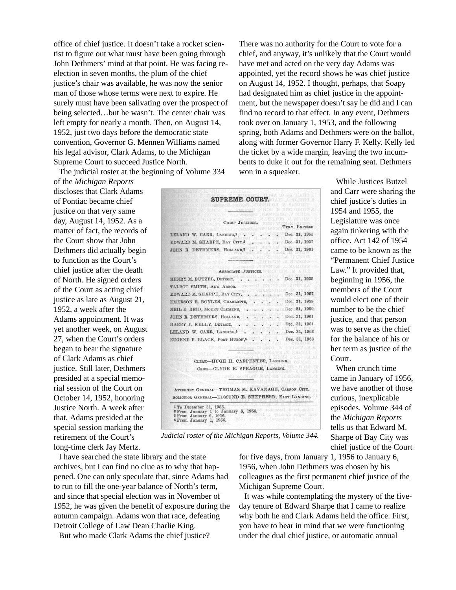office of chief justice. It doesn't take a rocket scientist to figure out what must have been going through John Dethmers' mind at that point. He was facing reelection in seven months, the plum of the chief justice's chair was available, he was now the senior man of those whose terms were next to expire. He surely must have been salivating over the prospect of being selected…but he wasn't. The center chair was left empty for nearly a month. Then, on August 14, 1952, just two days before the democratic state convention, Governor G. Mennen Williams named his legal advisor, Clark Adams, to the Michigan Supreme Court to succeed Justice North.

The judicial roster at the beginning of Volume 334

of the *Michigan Reports* discloses that Clark Adams of Pontiac became chief justice on that very same day, August 14, 1952. As a matter of fact, the records of the Court show that John Dethmers did actually begin to function as the Court's chief justice after the death of North. He signed orders of the Court as acting chief justice as late as August 21, 1952, a week after the Adams appointment. It was yet another week, on August 27, when the Court's orders began to bear the signature of Clark Adams as chief justice. Still later, Dethmers presided at a special memorial session of the Court on October 14, 1952, honoring Justice North. A week after that, Adams presided at the special session marking the retirement of the Court's long-time clerk Jay Mertz.

|                                                     |                                   | CHIRF JUSTICES |  |  |                     |          |  |
|-----------------------------------------------------|-----------------------------------|----------------|--|--|---------------------|----------|--|
|                                                     |                                   |                |  |  | <b>TERM EXPIRES</b> |          |  |
| LELAND W. CARR, LANSING,1                           |                                   |                |  |  | Dec. 31, 1955       |          |  |
| EDWARD M. SHARPE, BAY CITY,2                        |                                   |                |  |  | Dec. 31, 1957       |          |  |
| JOHN R. DETHMERS, HOLLAND,3                         |                                   |                |  |  | Dec. 31, 1961       |          |  |
|                                                     |                                   |                |  |  |                     |          |  |
|                                                     |                                   |                |  |  |                     |          |  |
|                                                     | ASSOCIATE J                       |                |  |  |                     |          |  |
| HENRY M. BUTZEL, DETROIT,                           |                                   |                |  |  | Dec. 31, 1955       | et a sua |  |
| TALBOT SMITH, ANN ARBOR.                            |                                   |                |  |  |                     |          |  |
| EDWARD M. SHARPE, BAY CITY,                         |                                   |                |  |  | Dec. 31, 1957       |          |  |
| EMERSON R. BOYLES, CHARLOTTE,                       |                                   |                |  |  | Dec. 31, 1959       |          |  |
| NEIL E. REID, MOUNT CLEMENS,                        |                                   |                |  |  | Dec. 31, 1959       |          |  |
| JOHN R. DETHMERS, HOLLAND,                          |                                   |                |  |  | Dec. 31, 1961       |          |  |
| HARRY F. KELLY, DETROIT,                            |                                   |                |  |  | Dec. 31, 1961       |          |  |
| LELAND W. CARR, LANSING,4                           |                                   |                |  |  | Dec. 31, 1963       |          |  |
| EUGENE F. BLACK, PORT HURON,4                       |                                   |                |  |  | Dec. 31, 1963       |          |  |
|                                                     |                                   |                |  |  |                     |          |  |
|                                                     |                                   |                |  |  |                     |          |  |
|                                                     | CLERK-HUGH H. CARPENTER, LANSING. |                |  |  |                     |          |  |
|                                                     | CRIER-CLYDE E. SPRAGUE, LANSING.  |                |  |  |                     |          |  |
|                                                     |                                   |                |  |  |                     |          |  |
| ATTORNEY GENERAL-THOMAS M. KAVANAGH, CARSON CITY.   |                                   |                |  |  |                     |          |  |
| SOLICITOR GENERAL-EDMUND E. SHEPHERD, EAST LANSING. |                                   |                |  |  |                     |          |  |

There was no authority for the Court to vote for a chief, and anyway, it's unlikely that the Court would have met and acted on the very day Adams was appointed, yet the record shows he was chief justice on August 14, 1952. I thought, perhaps, that Soapy had designated him as chief justice in the appointment, but the newspaper doesn't say he did and I can find no record to that effect. In any event, Dethmers took over on January 1, 1953, and the following spring, both Adams and Dethmers were on the ballot, along with former Governor Harry F. Kelly. Kelly led the ticket by a wide margin, leaving the two incumbents to duke it out for the remaining seat. Dethmers won in a squeaker.

> While Justices Butzel and Carr were sharing the chief justice's duties in 1954 and 1955, the Legislature was once again tinkering with the office. Act 142 of 1954 came to be known as the "Permanent Chief Justice Law." It provided that, beginning in 1956, the members of the Court would elect one of their number to be the chief justice, and that person was to serve as the chief for the balance of his or her term as justice of the Court.

When crunch time came in January of 1956, we have another of those curious, inexplicable episodes. Volume 344 of the *Michigan Reports* tells us that Edward M. Sharpe of Bay City was chief justice of the Court

*Judicial roster of the Michigan Reports, Volume 344.*

I have searched the state library and the state archives, but I can find no clue as to why that happened. One can only speculate that, since Adams had to run to fill the one-year balance of North's term, and since that special election was in November of 1952, he was given the benefit of exposure during the autumn campaign. Adams won that race, defeating Detroit College of Law Dean Charlie King.

But who made Clark Adams the chief justice?

for five days, from January 1, 1956 to January 6, 1956, when John Dethmers was chosen by his colleagues as the first permanent chief justice of the Michigan Supreme Court.

It was while contemplating the mystery of the fiveday tenure of Edward Sharpe that I came to realize why both he and Clark Adams held the office. First, you have to bear in mind that we were functioning under the dual chief justice, or automatic annual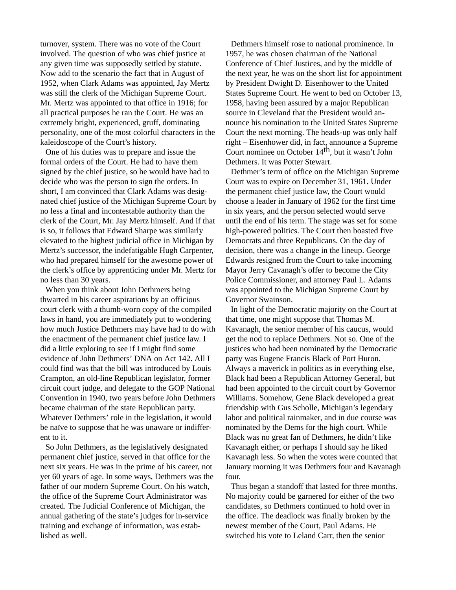turnover, system. There was no vote of the Court involved. The question of who was chief justice at any given time was supposedly settled by statute. Now add to the scenario the fact that in August of 1952, when Clark Adams was appointed, Jay Mertz was still the clerk of the Michigan Supreme Court. Mr. Mertz was appointed to that office in 1916; for all practical purposes he ran the Court. He was an extremely bright, experienced, gruff, dominating personality, one of the most colorful characters in the kaleidoscope of the Court's history.

One of his duties was to prepare and issue the formal orders of the Court. He had to have them signed by the chief justice, so he would have had to decide who was the person to sign the orders. In short, I am convinced that Clark Adams was designated chief justice of the Michigan Supreme Court by no less a final and incontestable authority than the clerk of the Court, Mr. Jay Mertz himself. And if that is so, it follows that Edward Sharpe was similarly elevated to the highest judicial office in Michigan by Mertz's successor, the indefatigable Hugh Carpenter, who had prepared himself for the awesome power of the clerk's office by apprenticing under Mr. Mertz for no less than 30 years.

When you think about John Dethmers being thwarted in his career aspirations by an officious court clerk with a thumb-worn copy of the compiled laws in hand, you are immediately put to wondering how much Justice Dethmers may have had to do with the enactment of the permanent chief justice law. I did a little exploring to see if I might find some evidence of John Dethmers' DNA on Act 142. All I could find was that the bill was introduced by Louis Crampton, an old-line Republican legislator, former circuit court judge, and delegate to the GOP National Convention in 1940, two years before John Dethmers became chairman of the state Republican party. Whatever Dethmers' role in the legislation, it would be naïve to suppose that he was unaware or indifferent to it.

So John Dethmers, as the legislatively designated permanent chief justice, served in that office for the next six years. He was in the prime of his career, not yet 60 years of age. In some ways, Dethmers was the father of our modern Supreme Court. On his watch, the office of the Supreme Court Administrator was created. The Judicial Conference of Michigan, the annual gathering of the state's judges for in-service training and exchange of information, was established as well.

Dethmers himself rose to national prominence. In 1957, he was chosen chairman of the National Conference of Chief Justices, and by the middle of the next year, he was on the short list for appointment by President Dwight D. Eisenhower to the United States Supreme Court. He went to bed on October 13, 1958, having been assured by a major Republican source in Cleveland that the President would announce his nomination to the United States Supreme Court the next morning. The heads-up was only half right – Eisenhower did, in fact, announce a Supreme Court nominee on October 14th, but it wasn't John Dethmers. It was Potter Stewart.

Dethmer's term of office on the Michigan Supreme Court was to expire on December 31, 1961. Under the permanent chief justice law, the Court would choose a leader in January of 1962 for the first time in six years, and the person selected would serve until the end of his term. The stage was set for some high-powered politics. The Court then boasted five Democrats and three Republicans. On the day of decision, there was a change in the lineup. George Edwards resigned from the Court to take incoming Mayor Jerry Cavanagh's offer to become the City Police Commissioner, and attorney Paul L. Adams was appointed to the Michigan Supreme Court by Governor Swainson.

In light of the Democratic majority on the Court at that time, one might suppose that Thomas M. Kavanagh, the senior member of his caucus, would get the nod to replace Dethmers. Not so. One of the justices who had been nominated by the Democratic party was Eugene Francis Black of Port Huron. Always a maverick in politics as in everything else, Black had been a Republican Attorney General, but had been appointed to the circuit court by Governor Williams. Somehow, Gene Black developed a great friendship with Gus Scholle, Michigan's legendary labor and political rainmaker, and in due course was nominated by the Dems for the high court. While Black was no great fan of Dethmers, he didn't like Kavanagh either, or perhaps I should say he liked Kavanagh less. So when the votes were counted that January morning it was Dethmers four and Kavanagh four.

Thus began a standoff that lasted for three months. No majority could be garnered for either of the two candidates, so Dethmers continued to hold over in the office. The deadlock was finally broken by the newest member of the Court, Paul Adams. He switched his vote to Leland Carr, then the senior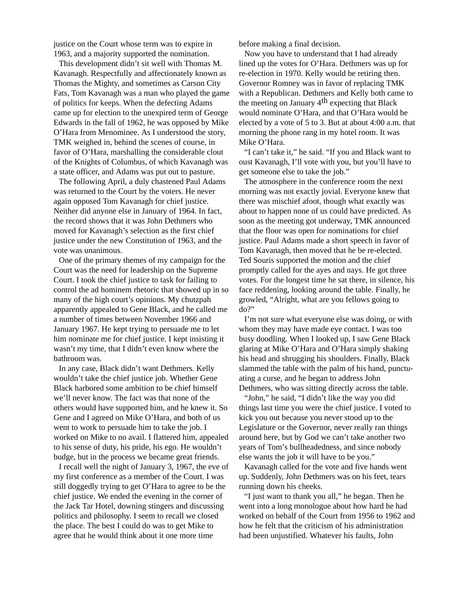justice on the Court whose term was to expire in 1963, and a majority supported the nomination.

This development didn't sit well with Thomas M. Kavanagh. Respectfully and affectionately known as Thomas the Mighty, and sometimes as Carson City Fats, Tom Kavanagh was a man who played the game of politics for keeps. When the defecting Adams came up for election to the unexpired term of George Edwards in the fall of 1962, he was opposed by Mike O'Hara from Menominee. As I understood the story, TMK weighed in, behind the scenes of course, in favor of O'Hara, marshalling the considerable clout of the Knights of Columbus, of which Kavanagh was a state officer, and Adams was put out to pasture.

The following April, a duly chastened Paul Adams was returned to the Court by the voters. He never again opposed Tom Kavanagh for chief justice. Neither did anyone else in January of 1964. In fact, the record shows that it was John Dethmers who moved for Kavanagh's selection as the first chief justice under the new Constitution of 1963, and the vote was unanimous.

One of the primary themes of my campaign for the Court was the need for leadership on the Supreme Court. I took the chief justice to task for failing to control the ad hominem rhetoric that showed up in so many of the high court's opinions. My chutzpah apparently appealed to Gene Black, and he called me a number of times between November 1966 and January 1967. He kept trying to persuade me to let him nominate me for chief justice. I kept insisting it wasn't my time, that I didn't even know where the bathroom was.

In any case, Black didn't want Dethmers. Kelly wouldn't take the chief justice job. Whether Gene Black harbored some ambition to be chief himself we'll never know. The fact was that none of the others would have supported him, and he knew it. So Gene and I agreed on Mike O'Hara, and both of us went to work to persuade him to take the job. I worked on Mike to no avail. I flattered him, appealed to his sense of duty, his pride, his ego. He wouldn't budge, but in the process we became great friends.

I recall well the night of January 3, 1967, the eve of my first conference as a member of the Court. I was still doggedly trying to get O'Hara to agree to be the chief justice. We ended the evening in the corner of the Jack Tar Hotel, downing stingers and discussing politics and philosophy. I seem to recall we closed the place. The best I could do was to get Mike to agree that he would think about it one more time

before making a final decision.

Now you have to understand that I had already lined up the votes for O'Hara. Dethmers was up for re-election in 1970. Kelly would be retiring then. Governor Romney was in favor of replacing TMK with a Republican. Dethmers and Kelly both came to the meeting on January  $4<sup>th</sup>$  expecting that Black would nominate O'Hara, and that O'Hara would be elected by a vote of 5 to 3. But at about 4:00 a.m. that morning the phone rang in my hotel room. It was Mike O'Hara.

"I can't take it," he said. "If you and Black want to oust Kavanagh, I'll vote with you, but you'll have to get someone else to take the job."

The atmosphere in the conference room the next morning was not exactly jovial. Everyone knew that there was mischief afoot, though what exactly was about to happen none of us could have predicted. As soon as the meeting got underway, TMK announced that the floor was open for nominations for chief justice. Paul Adams made a short speech in favor of Tom Kavanagh, then moved that he be re-elected. Ted Souris supported the motion and the chief promptly called for the ayes and nays. He got three votes. For the longest time he sat there, in silence, his face reddening, looking around the table. Finally, he growled, "Alright, what are you fellows going to do?"

I'm not sure what everyone else was doing, or with whom they may have made eye contact. I was too busy doodling. When I looked up, I saw Gene Black glaring at Mike O'Hara and O'Hara simply shaking his head and shrugging his shoulders. Finally, Black slammed the table with the palm of his hand, punctuating a curse, and he began to address John Dethmers, who was sitting directly across the table.

"John," he said, "I didn't like the way you did things last time you were the chief justice. I voted to kick you out because you never stood up to the Legislature or the Governor, never really ran things around here, but by God we can't take another two years of Tom's bullheadedness, and since nobody else wants the job it will have to be you."

Kavanagh called for the vote and five hands went up. Suddenly, John Dethmers was on his feet, tears running down his cheeks.

"I just want to thank you all," he began. Then he went into a long monologue about how hard he had worked on behalf of the Court from 1956 to 1962 and how he felt that the criticism of his administration had been unjustified. Whatever his faults, John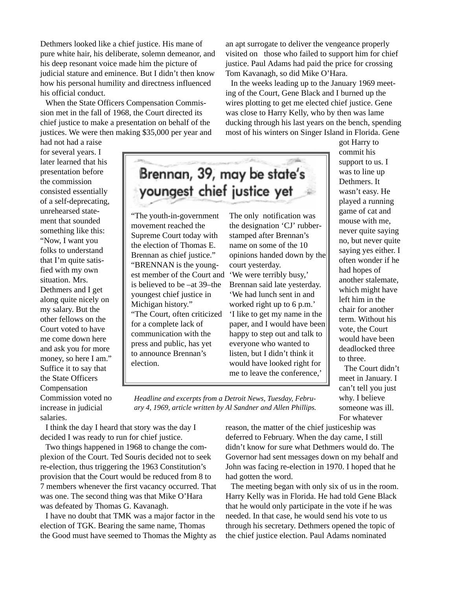Dethmers looked like a chief justice. His mane of pure white hair, his deliberate, solemn demeanor, and his deep resonant voice made him the picture of judicial stature and eminence. But I didn't then know how his personal humility and directness influenced his official conduct.

When the State Officers Compensation Commission met in the fall of 1968, the Court directed its chief justice to make a presentation on behalf of the justices. We were then making \$35,000 per year and

had not had a raise for several years. I later learned that his presentation before the commission consisted essentially of a self-deprecating, unrehearsed statement that sounded something like this: "Now, I want you folks to understand that I'm quite satisfied with my own situation. Mrs. Dethmers and I get along quite nicely on my salary. But the other fellows on the Court voted to have me come down here and ask you for more money, so here I am." Suffice it to say that the State Officers Compensation Commission voted no increase in judicial salaries.

Brennan, 39, may be state's youngest chief justice yet

"The youth-in-government movement reached the Supreme Court today with the election of Thomas E. Brennan as chief justice." "BRENNAN is the youngest member of the Court and is believed to be –at 39–the youngest chief justice in Michigan history." "The Court, often criticized for a complete lack of communication with the press and public, has yet to announce Brennan's election.

The only notification was the designation 'CJ' rubberstamped after Brennan's name on some of the 10 opinions handed down by the court yesterday.

an apt surrogate to deliver the vengeance properly visited on those who failed to support him for chief justice. Paul Adams had paid the price for crossing

In the weeks leading up to the January 1969 meeting of the Court, Gene Black and I burned up the wires plotting to get me elected chief justice. Gene was close to Harry Kelly, who by then was lame ducking through his last years on the bench, spending most of his winters on Singer Island in Florida. Gene

Tom Kavanagh, so did Mike O'Hara.

'We were terribly busy,' Brennan said late yesterday. 'We had lunch sent in and worked right up to 6 p.m.' 'I like to get my name in the paper, and I would have been happy to step out and talk to everyone who wanted to listen, but I didn't think it would have looked right for me to leave the conference,'

got Harry to commit his support to us. I was to line up Dethmers. It wasn't easy. He played a running game of cat and mouse with me, never quite saying no, but never quite saying yes either. I often wonder if he had hopes of another stalemate, which might have left him in the chair for another term. Without his vote, the Court would have been deadlocked three to three.

The Court didn't meet in January. I can't tell you just why. I believe someone was ill. For whatever

*Headline and excerpts from a Detroit News, Tuesday, February 4, 1969, article written by Al Sandner and Allen Phillips.*

I think the day I heard that story was the day I decided I was ready to run for chief justice.

Two things happened in 1968 to change the complexion of the Court. Ted Souris decided not to seek re-election, thus triggering the 1963 Constitution's provision that the Court would be reduced from 8 to 7 members whenever the first vacancy occurred. That was one. The second thing was that Mike O'Hara was defeated by Thomas G. Kavanagh.

I have no doubt that TMK was a major factor in the election of TGK. Bearing the same name, Thomas the Good must have seemed to Thomas the Mighty as reason, the matter of the chief justiceship was deferred to February. When the day came, I still didn't know for sure what Dethmers would do. The Governor had sent messages down on my behalf and John was facing re-election in 1970. I hoped that he had gotten the word.

The meeting began with only six of us in the room. Harry Kelly was in Florida. He had told Gene Black that he would only participate in the vote if he was needed. In that case, he would send his vote to us through his secretary. Dethmers opened the topic of the chief justice election. Paul Adams nominated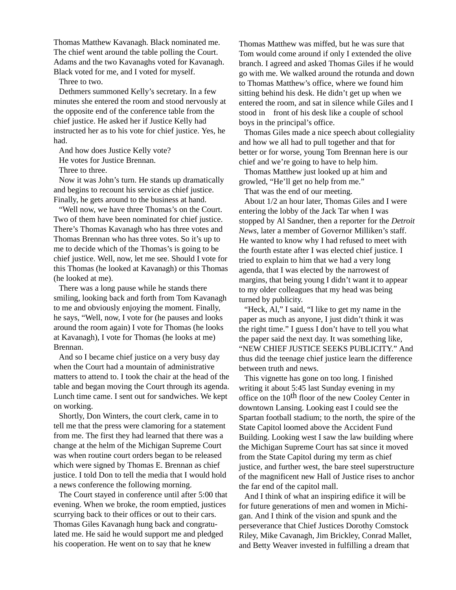Thomas Matthew Kavanagh. Black nominated me. The chief went around the table polling the Court. Adams and the two Kavanaghs voted for Kavanagh. Black voted for me, and I voted for myself.

Three to two.

Dethmers summoned Kelly's secretary. In a few minutes she entered the room and stood nervously at the opposite end of the conference table from the chief justice. He asked her if Justice Kelly had instructed her as to his vote for chief justice. Yes, he had.

And how does Justice Kelly vote?

He votes for Justice Brennan.

Three to three.

Now it was John's turn. He stands up dramatically and begins to recount his service as chief justice. Finally, he gets around to the business at hand.

"Well now, we have three Thomas's on the Court. Two of them have been nominated for chief justice. There's Thomas Kavanagh who has three votes and Thomas Brennan who has three votes. So it's up to me to decide which of the Thomas's is going to be chief justice. Well, now, let me see. Should I vote for this Thomas (he looked at Kavanagh) or this Thomas (he looked at me).

There was a long pause while he stands there smiling, looking back and forth from Tom Kavanagh to me and obviously enjoying the moment. Finally, he says, "Well, now, I vote for (he pauses and looks around the room again) I vote for Thomas (he looks at Kavanagh), I vote for Thomas (he looks at me) Brennan.

And so I became chief justice on a very busy day when the Court had a mountain of administrative matters to attend to. I took the chair at the head of the table and began moving the Court through its agenda. Lunch time came. I sent out for sandwiches. We kept on working.

Shortly, Don Winters, the court clerk, came in to tell me that the press were clamoring for a statement from me. The first they had learned that there was a change at the helm of the Michigan Supreme Court was when routine court orders began to be released which were signed by Thomas E. Brennan as chief justice. I told Don to tell the media that I would hold a news conference the following morning.

The Court stayed in conference until after 5:00 that evening. When we broke, the room emptied, justices scurrying back to their offices or out to their cars. Thomas Giles Kavanagh hung back and congratulated me. He said he would support me and pledged his cooperation. He went on to say that he knew

Thomas Matthew was miffed, but he was sure that Tom would come around if only I extended the olive branch. I agreed and asked Thomas Giles if he would go with me. We walked around the rotunda and down to Thomas Matthew's office, where we found him sitting behind his desk. He didn't get up when we entered the room, and sat in silence while Giles and I stood in front of his desk like a couple of school boys in the principal's office.

Thomas Giles made a nice speech about collegiality and how we all had to pull together and that for better or for worse, young Tom Brennan here is our chief and we're going to have to help him.

Thomas Matthew just looked up at him and growled, "He'll get no help from me."

That was the end of our meeting.

About 1/2 an hour later, Thomas Giles and I were entering the lobby of the Jack Tar when I was stopped by Al Sandner, then a reporter for the *Detroit News*, later a member of Governor Milliken's staff. He wanted to know why I had refused to meet with the fourth estate after I was elected chief justice. I tried to explain to him that we had a very long agenda, that I was elected by the narrowest of margins, that being young I didn't want it to appear to my older colleagues that my head was being turned by publicity.

"Heck, Al," I said, "I like to get my name in the paper as much as anyone, I just didn't think it was the right time." I guess I don't have to tell you what the paper said the next day. It was something like, "NEW CHIEF JUSTICE SEEKS PUBLICITY." And thus did the teenage chief justice learn the difference between truth and news.

This vignette has gone on too long. I finished writing it about 5:45 last Sunday evening in my office on the 10<sup>th</sup> floor of the new Cooley Center in downtown Lansing. Looking east I could see the Spartan football stadium; to the north, the spire of the State Capitol loomed above the Accident Fund Building. Looking west I saw the law building where the Michigan Supreme Court has sat since it moved from the State Capitol during my term as chief justice, and further west, the bare steel superstructure of the magnificent new Hall of Justice rises to anchor the far end of the capitol mall.

And I think of what an inspiring edifice it will be for future generations of men and women in Michigan. And I think of the vision and spunk and the perseverance that Chief Justices Dorothy Comstock Riley, Mike Cavanagh, Jim Brickley, Conrad Mallet, and Betty Weaver invested in fulfilling a dream that